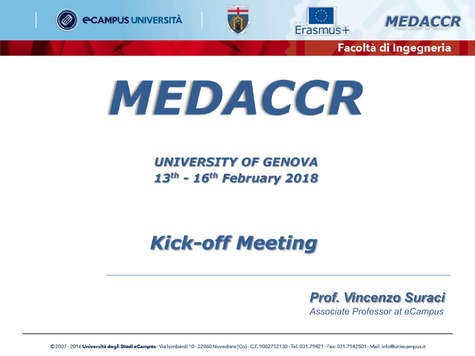







## **MEDACCR**

**UNIVERSITY OF GENOVA**  $13<sup>th</sup>$  - 16<sup>th</sup> February 2018

### **Kick-off Meeting**

*Prof. Vincenzo Suraci*

*Associate Professor at eCampus*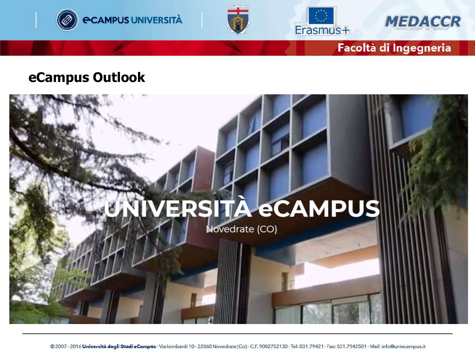







#### **eCampus Outlook**

# VERSITÀ eCAMPUS Novedrate (CO)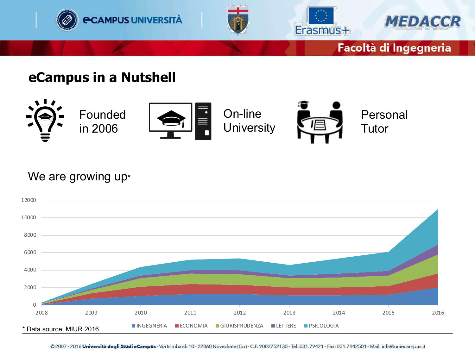

#### **eCampus in a Nutshell**



#### We are growing up\*

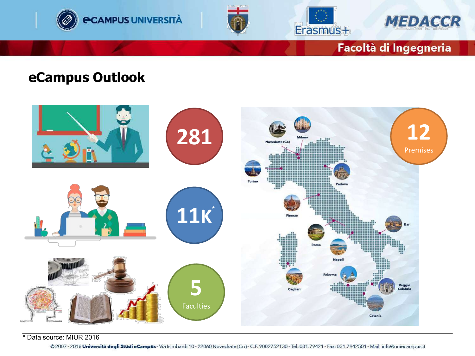







#### **eCampus Outlook**



\* Data source: MIUR 2016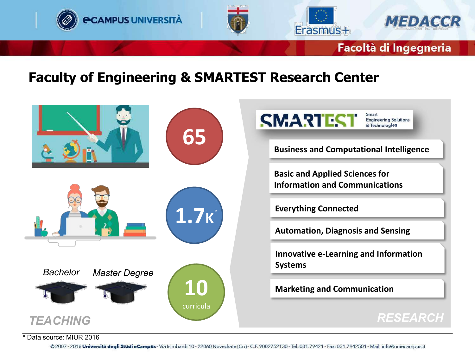

1.7k<sup>\*</sup>

**10**

curricula

**Everything Connected**

**Automation, Diagnosis and Sensing**

**Innovative e-Learning and Information Systems**

**Marketing and Communication**

#### *TEACHING RESEARCH*

\* Data source: MIUR 2016

*Bachelor Master Degree*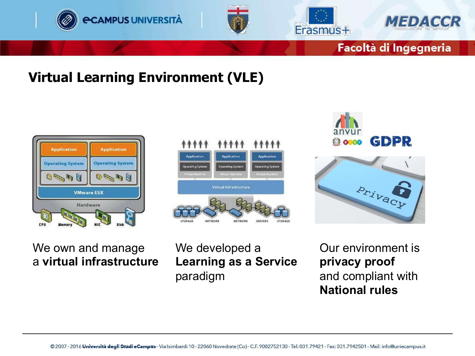







#### **Virtual Learning Environment (VLE)**







#### We own and manage a **virtual infrastructure**

We developed a **Learning as a Service** paradigm

Our environment is **privacy proof** and compliant with **National rules**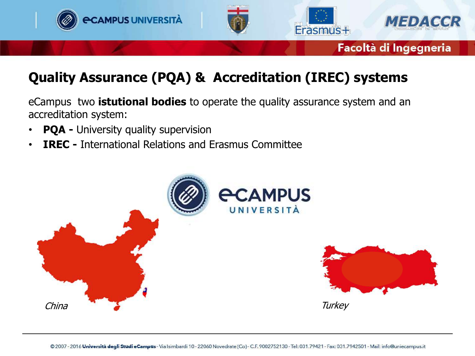

#### **Quality Assurance (PQA) & Accreditation (IREC) systems**

eCampus two **istutional bodies** to operate the quality assurance system and an accreditation system:

- **PQA -** University quality supervision
- **IREC -** International Relations and Erasmus Committee

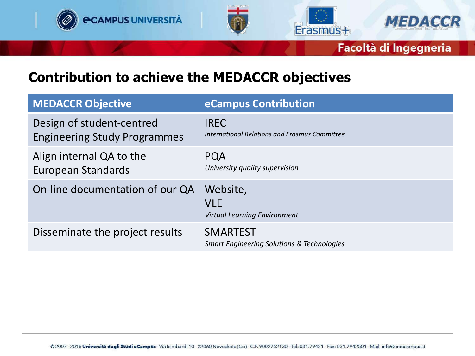







#### **Contribution to achieve the MEDACCR objectives**

| <b>MEDACCR Objective</b>                                         | eCampus Contribution                                                     |
|------------------------------------------------------------------|--------------------------------------------------------------------------|
| Design of student-centred<br><b>Engineering Study Programmes</b> | <b>IREC</b><br>International Relations and Erasmus Committee             |
| Align internal QA to the<br><b>European Standards</b>            | <b>PQA</b><br>University quality supervision                             |
| On-line documentation of our QA                                  | Website,<br><b>VLE</b><br><b>Virtual Learning Environment</b>            |
| Disseminate the project results                                  | <b>SMARTEST</b><br><b>Smart Engineering Solutions &amp; Technologies</b> |